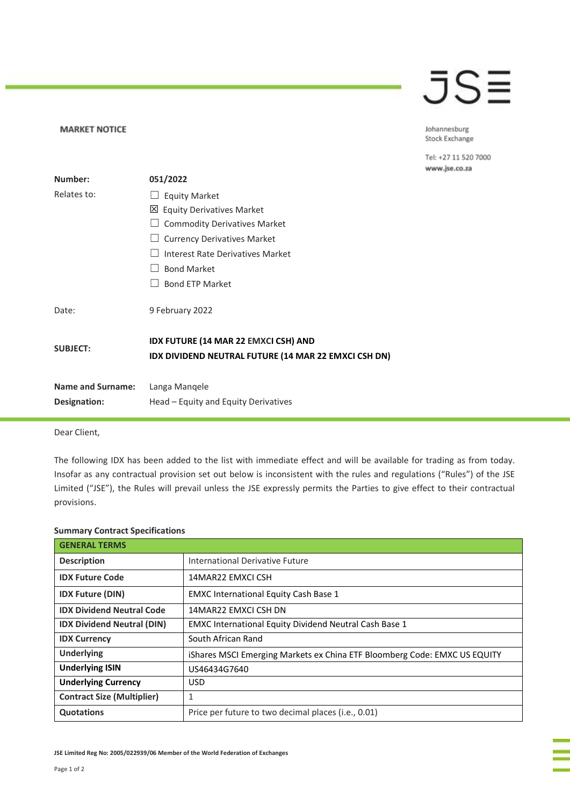## JSE

Johannesburg Stock Exchange

Tel: +27 11 520 7000 www.jse.co.za

| Number:                  | 051/2022                                                                                     |
|--------------------------|----------------------------------------------------------------------------------------------|
| Relates to:              | <b>Equity Market</b>                                                                         |
|                          | 凶 Equity Derivatives Market                                                                  |
|                          | <b>Commodity Derivatives Market</b>                                                          |
|                          | <b>Currency Derivatives Market</b>                                                           |
|                          | Interest Rate Derivatives Market                                                             |
|                          | <b>Bond Market</b>                                                                           |
|                          | <b>Bond ETP Market</b>                                                                       |
| Date:                    | 9 February 2022                                                                              |
| <b>SUBJECT:</b>          | IDX FUTURE (14 MAR 22 EMXCI CSH) AND<br>IDX DIVIDEND NEUTRAL FUTURE (14 MAR 22 EMXCI CSH DN) |
| <b>Name and Surname:</b> | Langa Mangele                                                                                |
| Designation:             | Head – Equity and Equity Derivatives                                                         |

Dear Client,

**MARKET NOTICE** 

The following IDX has been added to the list with immediate effect and will be available for trading as from today. Insofar as any contractual provision set out below is inconsistent with the rules and regulations ("Rules") of the JSE Limited ("JSE"), the Rules will prevail unless the JSE expressly permits the Parties to give effect to their contractual provisions.

| <b>GENERAL TERMS</b>              |                                                                           |
|-----------------------------------|---------------------------------------------------------------------------|
| <b>Description</b>                | International Derivative Future                                           |
| <b>IDX Future Code</b>            | 14MAR22 EMXCLCSH                                                          |
| <b>IDX Future (DIN)</b>           | <b>EMXC International Equity Cash Base 1</b>                              |
| <b>IDX Dividend Neutral Code</b>  | 14MAR22 EMXCLCSH DN                                                       |
| <b>IDX Dividend Neutral (DIN)</b> | EMXC International Equity Dividend Neutral Cash Base 1                    |
| <b>IDX Currency</b>               | South African Rand                                                        |
| <b>Underlying</b>                 | iShares MSCI Emerging Markets ex China ETF Bloomberg Code: EMXC US EQUITY |
| <b>Underlying ISIN</b>            | US46434G7640                                                              |
| <b>Underlying Currency</b>        | USD.                                                                      |
| <b>Contract Size (Multiplier)</b> | 1                                                                         |
| <b>Quotations</b>                 | Price per future to two decimal places (i.e., 0.01)                       |

## **Summary Contract Specifications**